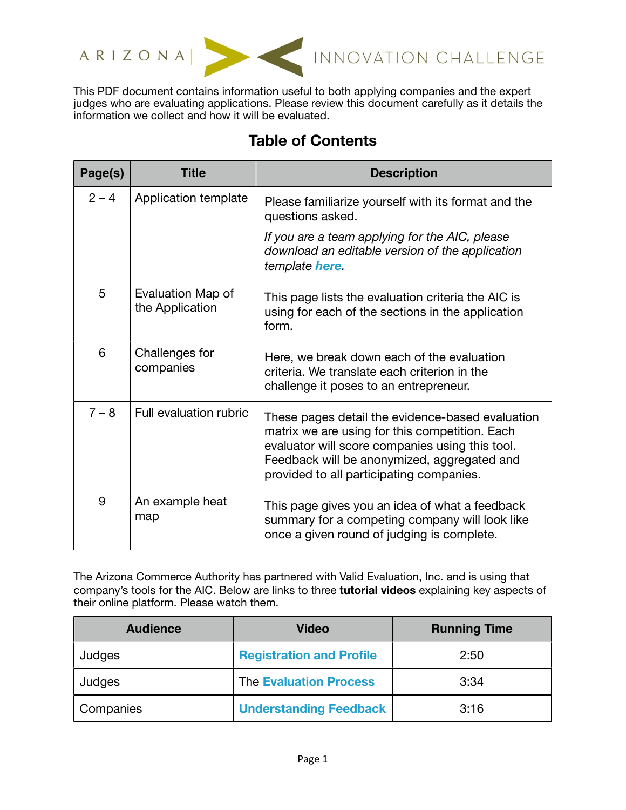



ARIZONA NE INNOVATION CHALLENGE

This PDF document contains information useful to both applying companies and the expert judges who are evaluating applications. Please review this document carefully as it details the information we collect and how it will be evaluated.

## **Table of Contents**

| Page(s) | <b>Title</b>                         | <b>Description</b>                                                                                                                                                                                                                               |
|---------|--------------------------------------|--------------------------------------------------------------------------------------------------------------------------------------------------------------------------------------------------------------------------------------------------|
| $2 - 4$ | Application template                 | Please familiarize yourself with its format and the<br>questions asked.                                                                                                                                                                          |
|         |                                      | If you are a team applying for the AIC, please<br>download an editable version of the application<br>template here.                                                                                                                              |
| 5       | Evaluation Map of<br>the Application | This page lists the evaluation criteria the AIC is<br>using for each of the sections in the application<br>form.                                                                                                                                 |
| 6       | Challenges for<br>companies          | Here, we break down each of the evaluation<br>criteria. We translate each criterion in the<br>challenge it poses to an entrepreneur.                                                                                                             |
| $7 - 8$ | Full evaluation rubric               | These pages detail the evidence-based evaluation<br>matrix we are using for this competition. Each<br>evaluator will score companies using this tool.<br>Feedback will be anonymized, aggregated and<br>provided to all participating companies. |
| 9       | An example heat<br>map               | This page gives you an idea of what a feedback<br>summary for a competing company will look like<br>once a given round of judging is complete.                                                                                                   |

The Arizona Commerce Authority has partnered with Valid Evaluation, Inc. and is using that company's tools for the AIC. Below are links to three **tutorial videos** explaining key aspects of their online platform. Please watch them.

| <b>Audience</b> | <b>Video</b>                    | <b>Running Time</b> |
|-----------------|---------------------------------|---------------------|
| Judges          | <b>Registration and Profile</b> | 2:50                |
| Judges          | <b>The Evaluation Process</b>   | 3:34                |
| Companies       | <b>Understanding Feedback</b>   | 3:16                |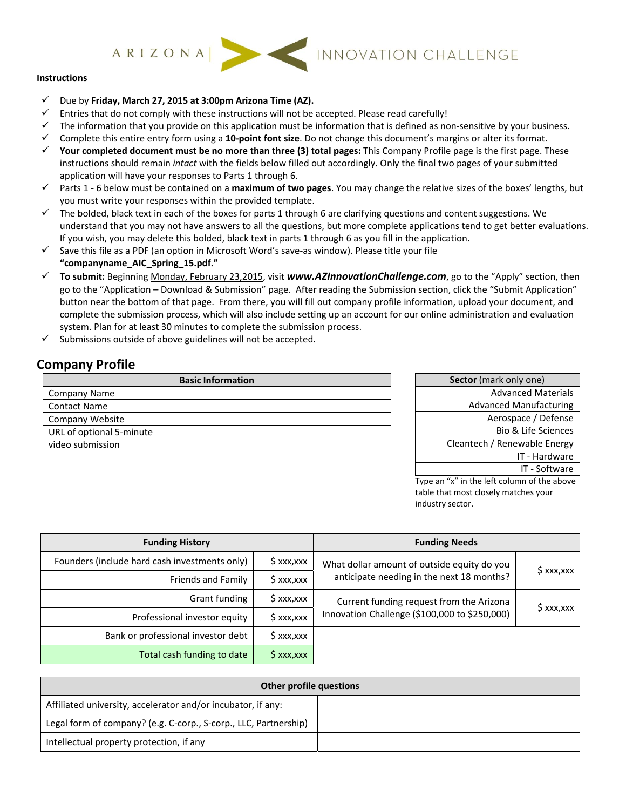# **Instructions**

- Due by **Friday, March 27, 2015 at 3:00pm Arizona Time (AZ).**
- $\checkmark$  Entries that do not comply with these instructions will not be accepted. Please read carefully!
- $\checkmark$  The information that you provide on this application must be information that is defined as non-sensitive by your business.
- Complete this entire entry form using a **10‐point font size**. Do not change this document's margins or alter its format.
- **Your completed document must be no more than three (3) total pages:** This Company Profile page is the first page. These instructions should remain *intact* with the fields below filled out accordingly. Only the final two pages of your submitted application will have your responses to Parts 1 through 6.
- Parts 1 ‐ 6 below must be contained on a **maximum of two pages**. You may change the relative sizes of the boxes' lengths, but you must write your responses within the provided template.
- $\checkmark$  The bolded, black text in each of the boxes for parts 1 through 6 are clarifying questions and content suggestions. We understand that you may not have answers to all the questions, but more complete applications tend to get better evaluations. If you wish, you may delete this bolded, black text in parts 1 through 6 as you fill in the application.
- $\checkmark$  Save this file as a PDF (an option in Microsoft Word's save-as window). Please title your file **"companyname\_AIC\_Spring\_15.pdf."**
- **To submit:** Beginning Monday, February 23,2015, visit *www.AZInnovationChallenge.com*, go to the "Apply" section, then go to the "Application – Download & Submission" page. After reading the Submission section, click the "Submit Application" button near the bottom of that page. From there, you will fill out company profile information, upload your document, and complete the submission process, which will also include setting up an account for our online administration and evaluation system. Plan for at least 30 minutes to complete the submission process.
- $\checkmark$  Submissions outside of above guidelines will not be accepted.

## **Company Profile**

| <b>Basic Information</b> |  |  |  |
|--------------------------|--|--|--|
| <b>Company Name</b>      |  |  |  |
| <b>Contact Name</b>      |  |  |  |
| <b>Company Website</b>   |  |  |  |
| URL of optional 5-minute |  |  |  |
| video submission         |  |  |  |

| Sector (mark only one) |                                |  |  |  |
|------------------------|--------------------------------|--|--|--|
|                        | <b>Advanced Materials</b>      |  |  |  |
|                        | <b>Advanced Manufacturing</b>  |  |  |  |
|                        | Aerospace / Defense            |  |  |  |
|                        | <b>Bio &amp; Life Sciences</b> |  |  |  |
|                        | Cleantech / Renewable Energy   |  |  |  |
|                        | IT - Hardware                  |  |  |  |
|                        | IT - Software                  |  |  |  |

Type an "x" in the left column of the above table that most closely matches your industry sector.

| <b>Funding History</b>                        |                                                            | <b>Funding Needs</b>                          |            |  |
|-----------------------------------------------|------------------------------------------------------------|-----------------------------------------------|------------|--|
| Founders (include hard cash investments only) | $$$ xxx,xxx<br>What dollar amount of outside equity do you |                                               |            |  |
| Friends and Family                            | \$ xxx,xxx                                                 | anticipate needing in the next 18 months?     | \$ xxx,xxx |  |
| Grant funding                                 | \$ xxx,xxx                                                 | Current funding request from the Arizona      |            |  |
| Professional investor equity                  | $$$ xxx, xxx                                               | Innovation Challenge (\$100,000 to \$250,000) | \$ xxx,xxx |  |
| Bank or professional investor debt            | $S$ xxx, xxx                                               |                                               |            |  |
| Total cash funding to date                    | $\mathsf{S}$ xxx, xxx                                      |                                               |            |  |

| Other profile questions                                          |  |  |
|------------------------------------------------------------------|--|--|
| Affiliated university, accelerator and/or incubator, if any:     |  |  |
| Legal form of company? (e.g. C-corp., S-corp., LLC, Partnership) |  |  |
| Intellectual property protection, if any                         |  |  |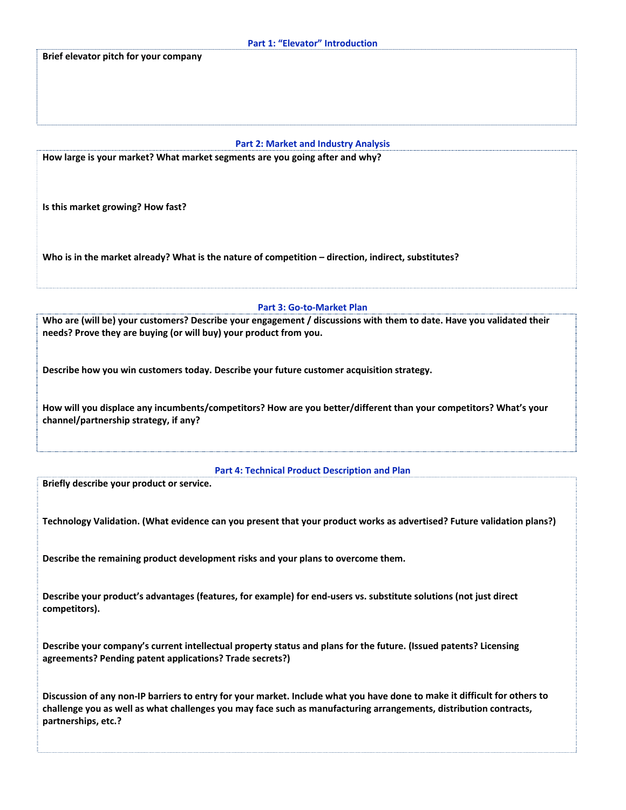|  |  |  | Part 1: "Elevator" Introduction |
|--|--|--|---------------------------------|
|--|--|--|---------------------------------|

**Brief elevator pitch for your company**

## **Part 2: Market and Industry Analysis**

**How large is your market? What market segments are you going after and why?**

**Is this market growing? How fast?** 

**Who is in the market already? What is the nature of competition – direction, indirect, substitutes?**

#### **Part 3: Go‐to‐Market Plan**

Who are (will be) your customers? Describe your engagement / discussions with them to date. Have you validated their **needs? Prove they are buying (or will buy) your product from you.**

**Describe how you win customers today. Describe your future customer acquisition strategy.**

**How will you displace any incumbents/competitors? How are you better/different than your competitors? What's your channel/partnership strategy, if any?**

**Part 4: Technical Product Description and Plan**

**Briefly describe your product or service.**

Technology Validation. (What evidence can you present that your product works as advertised? Future validation plans?)

**Describe the remaining product development risks and your plans to overcome them.**

Describe your product's advantages (features, for example) for end-users vs. substitute solutions (not just direct **competitors).**

**Describe your company's current intellectual property status and plans for the future. (Issued patents? Licensing agreements? Pending patent applications? Trade secrets?)**

Discussion of any non-IP barriers to entry for your market. Include what you have done to make it difficult for others to challenge you as well as what challenges you may face such as manufacturing arrangements, distribution contracts, **partnerships, etc.?**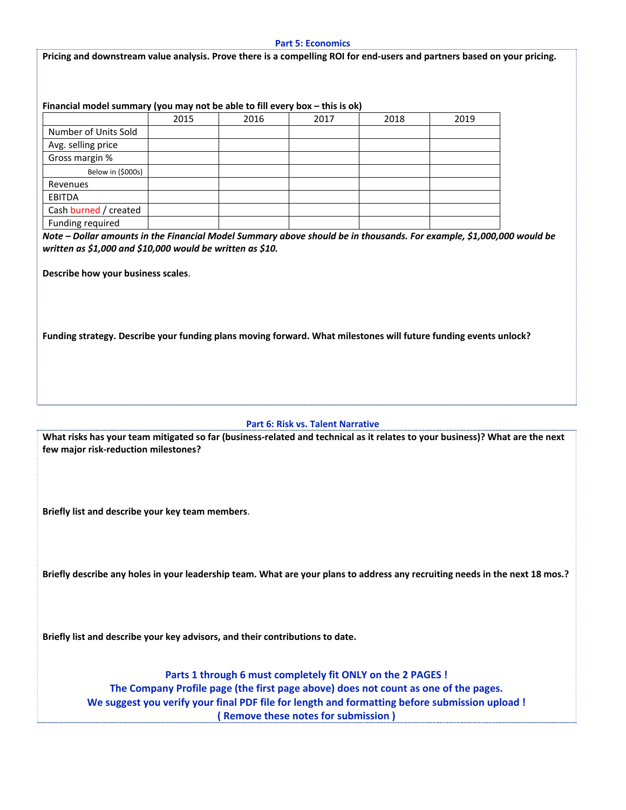#### **Part 5: Economics**

Pricing and downstream value analysis. Prove there is a compelling ROI for end-users and partners based on your pricing.

### **Financial model summary (you may not be able to fill every box – this is ok)**

|                       | 2015 | 2016 | 2017 | 2018 | 2019 |
|-----------------------|------|------|------|------|------|
| Number of Units Sold  |      |      |      |      |      |
| Avg. selling price    |      |      |      |      |      |
| Gross margin %        |      |      |      |      |      |
| Below in (\$000s)     |      |      |      |      |      |
| Revenues              |      |      |      |      |      |
| <b>EBITDA</b>         |      |      |      |      |      |
| Cash burned / created |      |      |      |      |      |
| Funding required      |      |      |      |      |      |

Note - Dollar amounts in the Financial Model Summary above should be in thousands. For example, \$1,000,000 would be *written as \$1,000 and \$10,000 would be written as \$10.* 

**Describe how your business scales**.

**Funding strategy. Describe your funding plans moving forward. What milestones will future funding events unlock?**

#### **Part 6: Risk vs. Talent Narrative**

What risks has your team mitigated so far (business-related and technical as it relates to your business)? What are the next **few major risk‐reduction milestones?**

**Briefly list and describe your key team members**.

Briefly describe any holes in your leadership team. What are your plans to address any recruiting needs in the next 18 mos.?

**Briefly list and describe your key advisors, and their contributions to date.**

**Parts 1 through 6 must completely fit ONLY on the 2 PAGES ! The Company Profile page (the first page above) does not count as one of the pages. We suggest you verify your final PDF file for length and formatting before submission upload ! ( Remove these notes for submission )**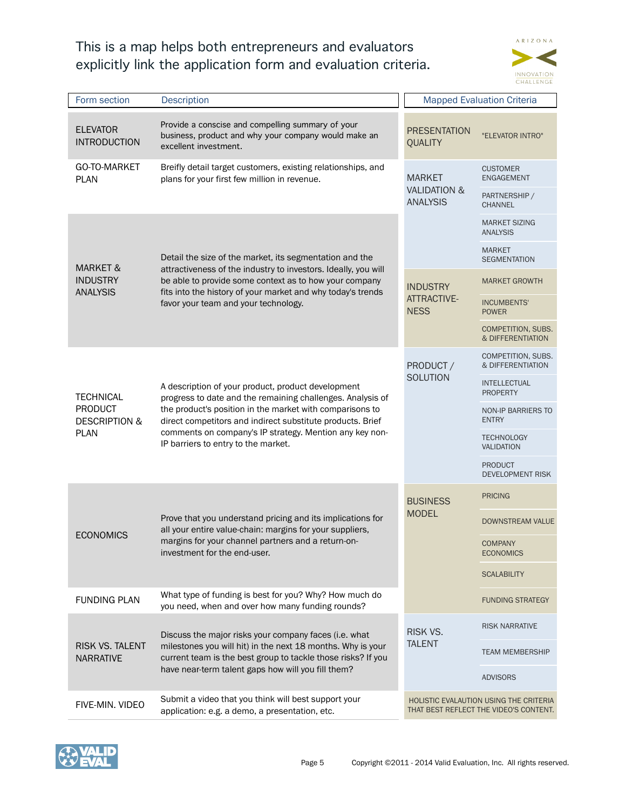## This is a map helps both entrepreneurs and evaluators explicitly link the application form and evaluation criteria.



| Form section                                                                  | <b>Description</b>                                                                                                                                                                                                                                                                                                                           |                                          | <b>Mapped Evaluation Criteria</b>                                                |
|-------------------------------------------------------------------------------|----------------------------------------------------------------------------------------------------------------------------------------------------------------------------------------------------------------------------------------------------------------------------------------------------------------------------------------------|------------------------------------------|----------------------------------------------------------------------------------|
| <b>ELEVATOR</b><br><b>INTRODUCTION</b>                                        | Provide a conscise and compelling summary of your<br>business, product and why your company would make an<br>excellent investment.                                                                                                                                                                                                           | <b>PRESENTATION</b><br><b>QUALITY</b>    | "ELEVATOR INTRO"                                                                 |
| GO-TO-MARKET<br><b>PLAN</b>                                                   | Breifly detail target customers, existing relationships, and<br>plans for your first few million in revenue.                                                                                                                                                                                                                                 | <b>MARKET</b><br><b>VALIDATION &amp;</b> | <b>CUSTOMER</b><br><b>ENGAGEMENT</b>                                             |
|                                                                               |                                                                                                                                                                                                                                                                                                                                              |                                          | PARTNERSHIP /<br><b>CHANNEL</b>                                                  |
|                                                                               |                                                                                                                                                                                                                                                                                                                                              |                                          | <b>MARKET SIZING</b><br><b>ANALYSIS</b>                                          |
| MARKET &                                                                      | Detail the size of the market, its segmentation and the<br>attractiveness of the industry to investors. Ideally, you will                                                                                                                                                                                                                    |                                          | <b>MARKET</b><br><b>SEGMENTATION</b>                                             |
| <b>INDUSTRY</b><br><b>ANALYSIS</b>                                            | be able to provide some context as to how your company<br>fits into the history of your market and why today's trends                                                                                                                                                                                                                        | <b>INDUSTRY</b>                          | <b>MARKET GROWTH</b>                                                             |
|                                                                               | favor your team and your technology.                                                                                                                                                                                                                                                                                                         | <b>ATTRACTIVE-</b><br><b>NESS</b>        | <b>INCUMBENTS'</b><br><b>POWER</b>                                               |
|                                                                               |                                                                                                                                                                                                                                                                                                                                              |                                          | COMPETITION, SUBS.<br>& DIFFERENTIATION                                          |
|                                                                               | A description of your product, product development<br>progress to date and the remaining challenges. Analysis of<br>the product's position in the market with comparisons to<br>direct competitors and indirect substitute products. Brief<br>comments on company's IP strategy. Mention any key non-<br>IP barriers to entry to the market. | PRODUCT /                                | COMPETITION, SUBS.<br>& DIFFERENTIATION                                          |
| <b>TECHNICAL</b><br><b>PRODUCT</b><br><b>DESCRIPTION &amp;</b><br><b>PLAN</b> |                                                                                                                                                                                                                                                                                                                                              | <b>SOLUTION</b>                          | <b>INTELLECTUAL</b><br><b>PROPERTY</b>                                           |
|                                                                               |                                                                                                                                                                                                                                                                                                                                              |                                          | <b>NON-IP BARRIERS TO</b><br><b>ENTRY</b>                                        |
|                                                                               |                                                                                                                                                                                                                                                                                                                                              |                                          | <b>TECHNOLOGY</b><br><b>VALIDATION</b>                                           |
|                                                                               |                                                                                                                                                                                                                                                                                                                                              |                                          | <b>PRODUCT</b><br><b>DEVELOPMENT RISK</b>                                        |
|                                                                               |                                                                                                                                                                                                                                                                                                                                              | <b>BUSINESS</b>                          | <b>PRICING</b>                                                                   |
| <b>ECONOMICS</b>                                                              | Prove that you understand pricing and its implications for<br>all your entire value-chain: margins for your suppliers,<br>margins for your channel partners and a return-on-<br>investment for the end-user.                                                                                                                                 | <b>MODEL</b>                             | DOWNSTREAM VALUE                                                                 |
|                                                                               |                                                                                                                                                                                                                                                                                                                                              |                                          | <b>COMPANY</b><br><b>ECONOMICS</b>                                               |
|                                                                               |                                                                                                                                                                                                                                                                                                                                              |                                          | <b>SCALABILITY</b>                                                               |
| <b>FUNDING PLAN</b>                                                           | What type of funding is best for you? Why? How much do<br>you need, when and over how many funding rounds?                                                                                                                                                                                                                                   |                                          | <b>FUNDING STRATEGY</b>                                                          |
|                                                                               | Discuss the major risks your company faces (i.e. what                                                                                                                                                                                                                                                                                        | RISK VS.                                 | <b>RISK NARRATIVE</b>                                                            |
| RISK VS. TALENT<br><b>NARRATIVE</b>                                           | milestones you will hit) in the next 18 months. Why is your<br>current team is the best group to tackle those risks? If you                                                                                                                                                                                                                  | <b>TALENT</b>                            | <b>TEAM MEMBERSHIP</b>                                                           |
|                                                                               | have near-term talent gaps how will you fill them?                                                                                                                                                                                                                                                                                           |                                          | <b>ADVISORS</b>                                                                  |
| FIVE-MIN. VIDEO                                                               | Submit a video that you think will best support your<br>application: e.g. a demo, a presentation, etc.                                                                                                                                                                                                                                       |                                          | HOLISTIC EVALAUTION USING THE CRITERIA<br>THAT BEST REFLECT THE VIDEO'S CONTENT. |

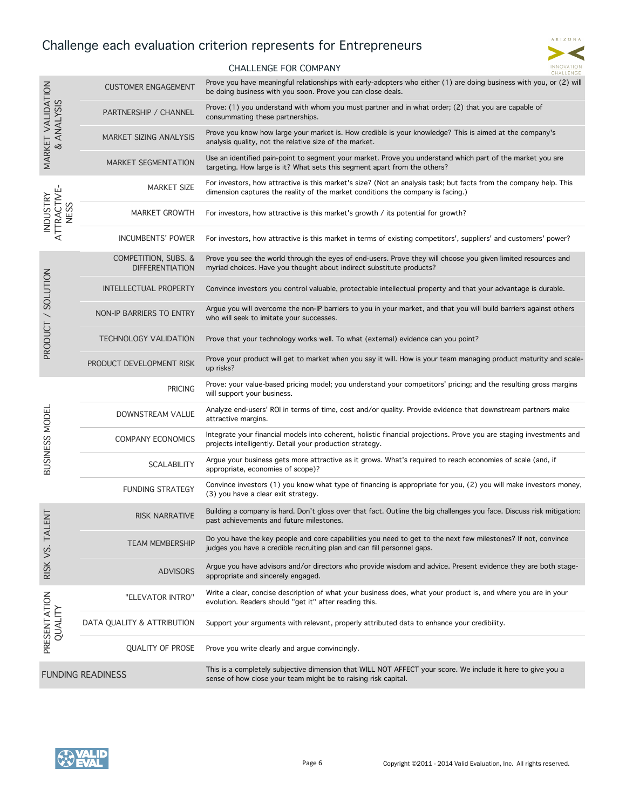## Challenge each evaluation criterion represents for Entrepreneurs



## CHALLENGE FOR COMPANY

|                                                    | <b>CUSTOMER ENGAGEMENT</b>                     | Prove you have meaningful relationships with early-adopters who either (1) are doing business with you, or (2) will<br>be doing business with you soon. Prove you can close deals.                   |
|----------------------------------------------------|------------------------------------------------|------------------------------------------------------------------------------------------------------------------------------------------------------------------------------------------------------|
|                                                    | PARTNERSHIP / CHANNEL                          | Prove: (1) you understand with whom you must partner and in what order; (2) that you are capable of<br>consummating these partnerships.                                                              |
| MARKET VALIDATION<br>& ANALYSIS                    | <b>MARKET SIZING ANALYSIS</b>                  | Prove you know how large your market is. How credible is your knowledge? This is aimed at the company's<br>analysis quality, not the relative size of the market.                                    |
|                                                    | <b>MARKET SEGMENTATION</b>                     | Use an identified pain-point to segment your market. Prove you understand which part of the market you are<br>targeting. How large is it? What sets this segment apart from the others?              |
|                                                    | <b>MARKET SIZE</b>                             | For investors, how attractive is this market's size? (Not an analysis task; but facts from the company help. This<br>dimension captures the reality of the market conditions the company is facing.) |
| <b>TRACTIVE-</b><br><b>INDUSTRY</b><br><b>NESS</b> | <b>MARKET GROWTH</b>                           | For investors, how attractive is this market's growth / its potential for growth?                                                                                                                    |
|                                                    | <b>INCUMBENTS' POWER</b>                       | For investors, how attractive is this market in terms of existing competitors', suppliers' and customers' power?                                                                                     |
|                                                    | COMPETITION, SUBS. &<br><b>DIFFERENTIATION</b> | Prove you see the world through the eyes of end-users. Prove they will choose you given limited resources and<br>myriad choices. Have you thought about indirect substitute products?                |
|                                                    | INTELLECTUAL PROPERTY                          | Convince investors you control valuable, protectable intellectual property and that your advantage is durable.                                                                                       |
|                                                    | NON-IP BARRIERS TO ENTRY                       | Argue you will overcome the non-IP barriers to you in your market, and that you will build barriers against others<br>who will seek to imitate your successes.                                       |
| PRODUCT / SOLUTION                                 | <b>TECHNOLOGY VALIDATION</b>                   | Prove that your technology works well. To what (external) evidence can you point?                                                                                                                    |
|                                                    | PRODUCT DEVELOPMENT RISK                       | Prove your product will get to market when you say it will. How is your team managing product maturity and scale-<br>up risks?                                                                       |
|                                                    | <b>PRICING</b>                                 | Prove: your value-based pricing model; you understand your competitors' pricing; and the resulting gross margins<br>will support your business.                                                      |
|                                                    | DOWNSTREAM VALUE                               | Analyze end-users' ROI in terms of time, cost and/or quality. Provide evidence that downstream partners make<br>attractive margins.                                                                  |
| BUSINESS MODEI                                     | <b>COMPANY ECONOMICS</b>                       | Integrate your financial models into coherent, holistic financial projections. Prove you are staging investments and<br>projects intelligently. Detail your production strategy.                     |
|                                                    | <b>SCALABILITY</b>                             | Argue your business gets more attractive as it grows. What's required to reach economies of scale (and, if<br>appropriate, economies of scope)?                                                      |
|                                                    | <b>FUNDING STRATEGY</b>                        | Convince investors (1) you know what type of financing is appropriate for you, (2) you will make investors money,<br>(3) you have a clear exit strategy.                                             |
| <b>ALENT</b>                                       | <b>RISK NARRATIVE</b>                          | Building a company is hard. Don't gloss over that fact. Outline the big challenges you face. Discuss risk mitigation:<br>past achievements and future milestones.                                    |
| $\vdash$<br>RISK VS.                               | <b>TEAM MEMBERSHIP</b>                         | Do you have the key people and core capabilities you need to get to the next few milestones? If not, convince<br>judges you have a credible recruiting plan and can fill personnel gaps.             |
|                                                    | <b>ADVISORS</b>                                | Argue you have advisors and/or directors who provide wisdom and advice. Present evidence they are both stage-<br>appropriate and sincerely engaged.                                                  |
| PRESENTATION<br><b>OUALITY</b>                     | "ELEVATOR INTRO"                               | Write a clear, concise description of what your business does, what your product is, and where you are in your<br>evolution. Readers should "get it" after reading this.                             |
|                                                    | DATA QUALITY & ATTRIBUTION                     | Support your arguments with relevant, properly attributed data to enhance your credibility.                                                                                                          |
|                                                    | <b>QUALITY OF PROSE</b>                        | Prove you write clearly and argue convincingly.                                                                                                                                                      |
| <b>FUNDING READINESS</b>                           |                                                | This is a completely subjective dimension that WILL NOT AFFECT your score. We include it here to give you a<br>sense of how close your team might be to raising risk capital.                        |

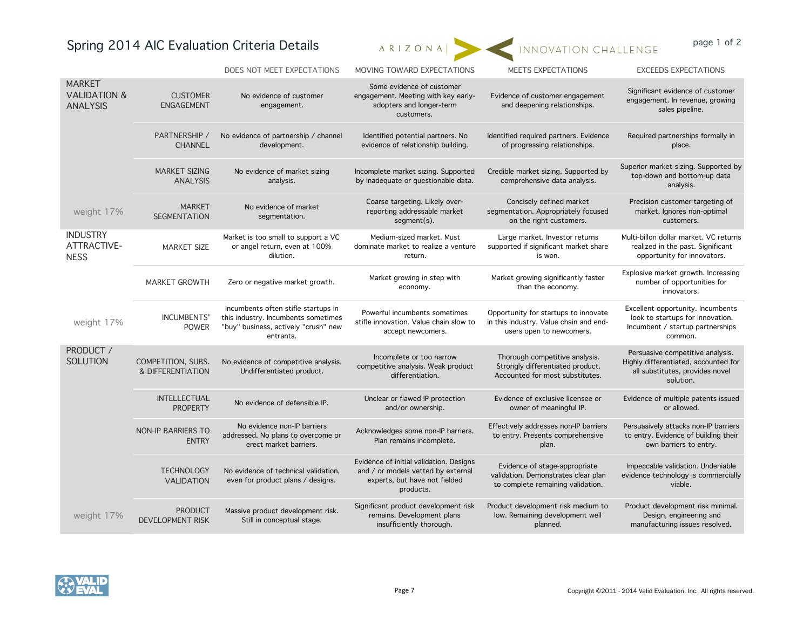# Spring 2014 AIC Evaluation Criteria Details ARIZONAL INNOVATION CHALLENGE page 1 of 2



|                                                             |                                           | DOES NOT MEET EXPECTATIONS                                                                                                      | MOVING TOWARD EXPECTATIONS                                                                                                  | MEETS EXPECTATIONS                                                                                         | <b>EXCEEDS EXPECTATIONS</b>                                                                                              |
|-------------------------------------------------------------|-------------------------------------------|---------------------------------------------------------------------------------------------------------------------------------|-----------------------------------------------------------------------------------------------------------------------------|------------------------------------------------------------------------------------------------------------|--------------------------------------------------------------------------------------------------------------------------|
| <b>MARKET</b><br><b>VALIDATION &amp;</b><br><b>ANALYSIS</b> | <b>CUSTOMER</b><br><b>ENGAGEMENT</b>      | No evidence of customer<br>engagement.                                                                                          | Some evidence of customer<br>engagement. Meeting with key early-<br>adopters and longer-term<br>customers.                  | Evidence of customer engagement<br>and deepening relationships.                                            | Significant evidence of customer<br>engagement. In revenue, growing<br>sales pipeline.                                   |
|                                                             | PARTNERSHIP /<br><b>CHANNEL</b>           | No evidence of partnership / channel<br>development.                                                                            | Identified potential partners. No<br>evidence of relationship building.                                                     | Identified required partners. Evidence<br>of progressing relationships.                                    | Required partnerships formally in<br>place.                                                                              |
|                                                             | <b>MARKET SIZING</b><br><b>ANALYSIS</b>   | No evidence of market sizing<br>analysis.                                                                                       | Incomplete market sizing. Supported<br>by inadequate or questionable data.                                                  | Credible market sizing. Supported by<br>comprehensive data analysis.                                       | Superior market sizing. Supported by<br>top-down and bottom-up data<br>analysis.                                         |
| weight 17%                                                  | <b>MARKET</b><br><b>SEGMENTATION</b>      | No evidence of market<br>segmentation.                                                                                          | Coarse targeting. Likely over-<br>reporting addressable market<br>segment(s).                                               | Concisely defined market<br>segmentation. Appropriately focused<br>on the right customers.                 | Precision customer targeting of<br>market. Ignores non-optimal<br>customers.                                             |
| <b>INDUSTRY</b><br>ATTRACTIVE-<br><b>NESS</b>               | <b>MARKET SIZE</b>                        | Market is too small to support a VC<br>or angel return, even at 100%<br>dilution.                                               | Medium-sized market. Must<br>dominate market to realize a venture<br>return.                                                | Large market. Investor returns<br>supported if significant market share<br>is won.                         | Multi-billon dollar market. VC returns<br>realized in the past. Significant<br>opportunity for innovators.               |
|                                                             | <b>MARKET GROWTH</b>                      | Zero or negative market growth.                                                                                                 | Market growing in step with<br>economy.                                                                                     | Market growing significantly faster<br>than the economy.                                                   | Explosive market growth. Increasing<br>number of opportunities for<br>innovators.                                        |
| weight 17%                                                  | <b>INCUMBENTS'</b><br><b>POWER</b>        | Incumbents often stifle startups in<br>this industry. Incumbents sometimes<br>"buy" business, actively "crush" new<br>entrants. | Powerful incumbents sometimes<br>stifle innovation. Value chain slow to<br>accept newcomers.                                | Opportunity for startups to innovate<br>in this industry. Value chain and end-<br>users open to newcomers. | Excellent opportunity. Incumbents<br>look to startups for innovation.<br>Incumbent / startup partnerships<br>common.     |
| PRODUCT /<br><b>SOLUTION</b>                                | COMPETITION, SUBS.<br>& DIFFERENTIATION   | No evidence of competitive analysis.<br>Undifferentiated product.                                                               | Incomplete or too narrow<br>competitive analysis. Weak product<br>differentiation.                                          | Thorough competitive analysis.<br>Strongly differentiated product.<br>Accounted for most substitutes.      | Persuasive competitive analysis.<br>Highly differentiated, accounted for<br>all substitutes, provides novel<br>solution. |
| weight 17%                                                  | <b>INTELLECTUAL</b><br><b>PROPERTY</b>    | No evidence of defensible IP.                                                                                                   | Unclear or flawed IP protection<br>and/or ownership.                                                                        | Evidence of exclusive licensee or<br>owner of meaningful IP.                                               | Evidence of multiple patents issued<br>or allowed.                                                                       |
|                                                             | <b>NON-IP BARRIERS TO</b><br><b>ENTRY</b> | No evidence non-IP barriers<br>addressed. No plans to overcome or<br>erect market barriers.                                     | Acknowledges some non-IP barriers.<br>Plan remains incomplete.                                                              | Effectively addresses non-IP barriers<br>to entry. Presents comprehensive<br>plan.                         | Persuasively attacks non-IP barriers<br>to entry. Evidence of building their<br>own barriers to entry.                   |
|                                                             | <b>TECHNOLOGY</b><br><b>VALIDATION</b>    | No evidence of technical validation,<br>even for product plans / designs.                                                       | Evidence of initial validation. Designs<br>and / or models vetted by external<br>experts, but have not fielded<br>products. | Evidence of stage-appropriate<br>validation. Demonstrates clear plan<br>to complete remaining validation.  | Impeccable validation. Undeniable<br>evidence technology is commercially<br>viable.                                      |
|                                                             | <b>PRODUCT</b><br><b>DEVELOPMENT RISK</b> | Massive product development risk.<br>Still in conceptual stage.                                                                 | Significant product development risk<br>remains. Development plans<br>insufficiently thorough.                              | Product development risk medium to<br>low. Remaining development well<br>planned.                          | Product development risk minimal.<br>Design, engineering and<br>manufacturing issues resolved.                           |

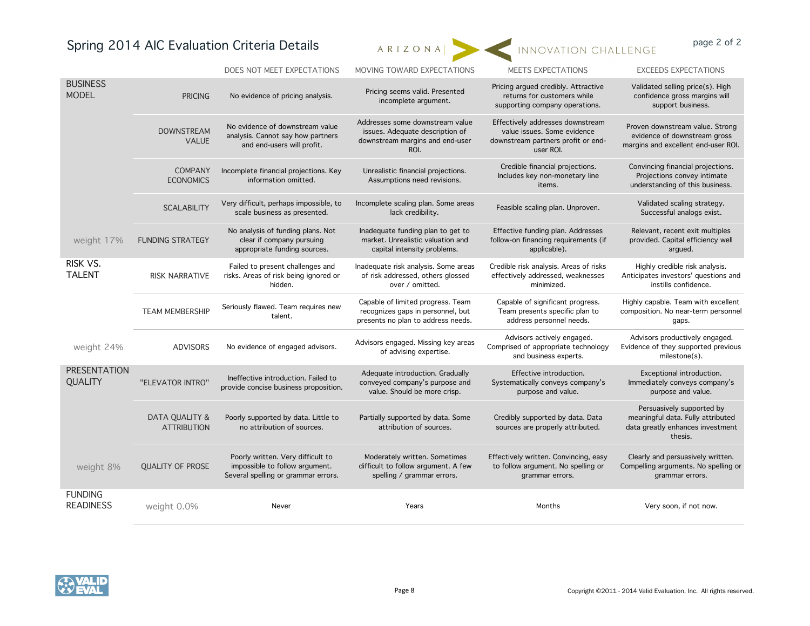# Spring 2014 AIC Evaluation Criteria Details ARIZONAL INNOVATION CHALLENGE page 2 of 2



|                                    |                                                 | DOES NOT MEET EXPECTATIONS                                                                                 | MOVING TOWARD EXPECTATIONS                                                                                    | MEETS EXPECTATIONS                                                                                                 | <b>EXCEEDS EXPECTATIONS</b>                                                                                   |
|------------------------------------|-------------------------------------------------|------------------------------------------------------------------------------------------------------------|---------------------------------------------------------------------------------------------------------------|--------------------------------------------------------------------------------------------------------------------|---------------------------------------------------------------------------------------------------------------|
| <b>BUSINESS</b><br><b>MODEL</b>    | <b>PRICING</b>                                  | No evidence of pricing analysis.                                                                           | Pricing seems valid. Presented<br>incomplete argument.                                                        | Pricing argued credibly. Attractive<br>returns for customers while<br>supporting company operations.               | Validated selling price(s). High<br>confidence gross margins will<br>support business.                        |
|                                    | <b>DOWNSTREAM</b><br><b>VALUE</b>               | No evidence of downstream value<br>analysis. Cannot say how partners<br>and end-users will profit.         | Addresses some downstream value<br>issues. Adequate description of<br>downstream margins and end-user<br>ROI. | Effectively addresses downstream<br>value issues. Some evidence<br>downstream partners profit or end-<br>user ROI. | Proven downstream value. Strong<br>evidence of downstream gross<br>margins and excellent end-user ROI.        |
|                                    | <b>COMPANY</b><br><b>ECONOMICS</b>              | Incomplete financial projections. Key<br>information omitted.                                              | Unrealistic financial projections.<br>Assumptions need revisions.                                             | Credible financial projections.<br>Includes key non-monetary line<br>items.                                        | Convincing financial projections.<br>Projections convey intimate<br>understanding of this business.           |
|                                    | <b>SCALABILITY</b>                              | Very difficult, perhaps impossible, to<br>scale business as presented.                                     | Incomplete scaling plan. Some areas<br>lack credibility.                                                      | Feasible scaling plan. Unproven.                                                                                   | Validated scaling strategy.<br>Successful analogs exist.                                                      |
| weight 17%                         | <b>FUNDING STRATEGY</b>                         | No analysis of funding plans. Not<br>clear if company pursuing<br>appropriate funding sources.             | Inadequate funding plan to get to<br>market. Unrealistic valuation and<br>capital intensity problems.         | Effective funding plan. Addresses<br>follow-on financing requirements (if<br>applicable).                          | Relevant, recent exit multiples<br>provided. Capital efficiency well<br>argued.                               |
| RISK VS.<br><b>TALENT</b>          | <b>RISK NARRATIVE</b>                           | Failed to present challenges and<br>risks. Areas of risk being ignored or<br>hidden.                       | Inadequate risk analysis. Some areas<br>of risk addressed, others glossed<br>over / omitted.                  | Credible risk analysis. Areas of risks<br>effectively addressed, weaknesses<br>minimized.                          | Highly credible risk analysis.<br>Anticipates investors' questions and<br>instills confidence.                |
|                                    | <b>TEAM MEMBERSHIP</b>                          | Seriously flawed. Team requires new<br>talent.                                                             | Capable of limited progress. Team<br>recognizes gaps in personnel, but<br>presents no plan to address needs.  | Capable of significant progress.<br>Team presents specific plan to<br>address personnel needs.                     | Highly capable. Team with excellent<br>composition. No near-term personnel<br>gaps.                           |
| weight 24%                         | <b>ADVISORS</b>                                 | No evidence of engaged advisors.                                                                           | Advisors engaged. Missing key areas<br>of advising expertise.                                                 | Advisors actively engaged.<br>Comprised of appropriate technology<br>and business experts.                         | Advisors productively engaged.<br>Evidence of they supported previous<br>milestone(s).                        |
| <b>PRESENTATION</b><br>QUALITY     | "ELEVATOR INTRO"                                | Ineffective introduction. Failed to<br>provide concise business proposition.                               | Adequate introduction. Gradually<br>conveyed company's purpose and<br>value. Should be more crisp.            | Effective introduction.<br>Systematically conveys company's<br>purpose and value.                                  | Exceptional introduction.<br>Immediately conveys company's<br>purpose and value.                              |
|                                    | <b>DATA QUALITY &amp;</b><br><b>ATTRIBUTION</b> | Poorly supported by data. Little to<br>no attribution of sources.                                          | Partially supported by data. Some<br>attribution of sources.                                                  | Credibly supported by data. Data<br>sources are properly attributed.                                               | Persuasively supported by<br>meaningful data. Fully attributed<br>data greatly enhances investment<br>thesis. |
| weight 8%                          | <b>QUALITY OF PROSE</b>                         | Poorly written. Very difficult to<br>impossible to follow argument.<br>Several spelling or grammar errors. | Moderately written. Sometimes<br>difficult to follow argument. A few<br>spelling / grammar errors.            | Effectively written. Convincing, easy<br>to follow argument. No spelling or<br>grammar errors.                     | Clearly and persuasively written.<br>Compelling arguments. No spelling or<br>grammar errors.                  |
| <b>FUNDING</b><br><b>READINESS</b> | weight 0.0%                                     | Never                                                                                                      | Years                                                                                                         | Months                                                                                                             | Very soon, if not now.                                                                                        |